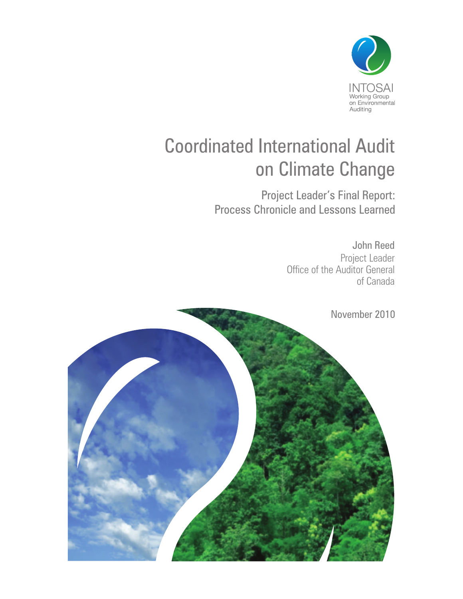

# Coordinated International Audit on Climate Change

Project Leader's Final Report: Process Chronicle and Lessons Learned

> John Reed Project Leader Office of the Auditor General of Canada

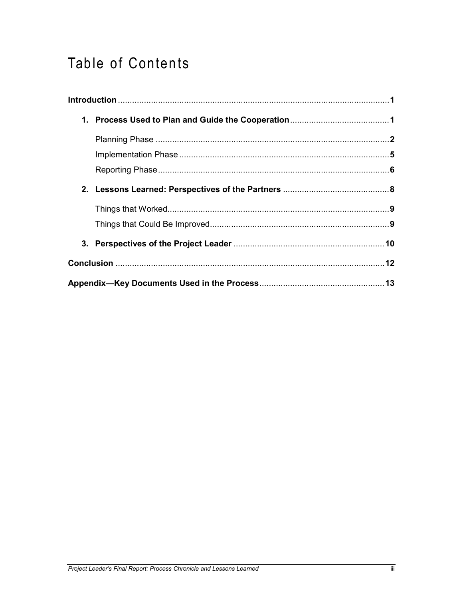## Table of Contents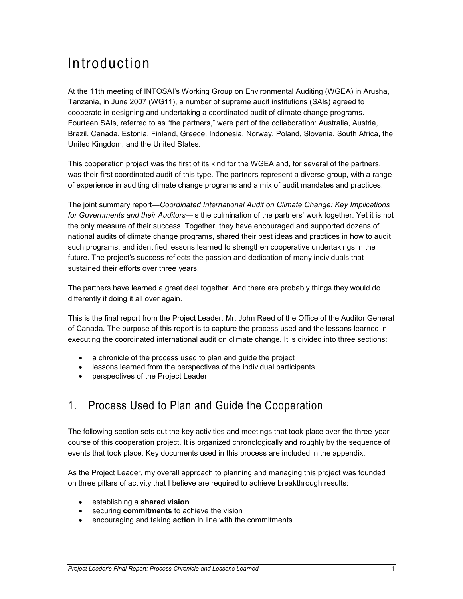## Introduction

At the 11th meeting of INTOSAI's Working Group on Environmental Auditing (WGEA) in Arusha, Tanzania, in June 2007 (WG11), a number of supreme audit institutions (SAIs) agreed to cooperate in designing and undertaking a coordinated audit of climate change programs. Fourteen SAIs, referred to as "the partners," were part of the collaboration: Australia, Austria, Brazil, Canada, Estonia, Finland, Greece, Indonesia, Norway, Poland, Slovenia, South Africa, the United Kingdom, and the United States.

This cooperation project was the first of its kind for the WGEA and, for several of the partners, was their first coordinated audit of this type. The partners represent a diverse group, with a range of experience in auditing climate change programs and a mix of audit mandates and practices.

The joint summary report—*Coordinated International Audit on Climate Change: Key Implications for Governments and their Auditors*—is the culmination of the partners' work together. Yet it is not the only measure of their success. Together, they have encouraged and supported dozens of national audits of climate change programs, shared their best ideas and practices in how to audit such programs, and identified lessons learned to strengthen cooperative undertakings in the future. The project's success reflects the passion and dedication of many individuals that sustained their efforts over three years.

The partners have learned a great deal together. And there are probably things they would do differently if doing it all over again.

This is the final report from the Project Leader, Mr. John Reed of the Office of the Auditor General of Canada. The purpose of this report is to capture the process used and the lessons learned in executing the coordinated international audit on climate change. It is divided into three sections:

- a chronicle of the process used to plan and guide the project
- lessons learned from the perspectives of the individual participants
- perspectives of the Project Leader

### 1. Process Used to Plan and Guide the Cooperation

The following section sets out the key activities and meetings that took place over the three-year course of this cooperation project. It is organized chronologically and roughly by the sequence of events that took place. Key documents used in this process are included in the appendix.

As the Project Leader, my overall approach to planning and managing this project was founded on three pillars of activity that I believe are required to achieve breakthrough results:

- establishing a **shared vision**
- securing **commitments** to achieve the vision
- encouraging and taking **action** in line with the commitments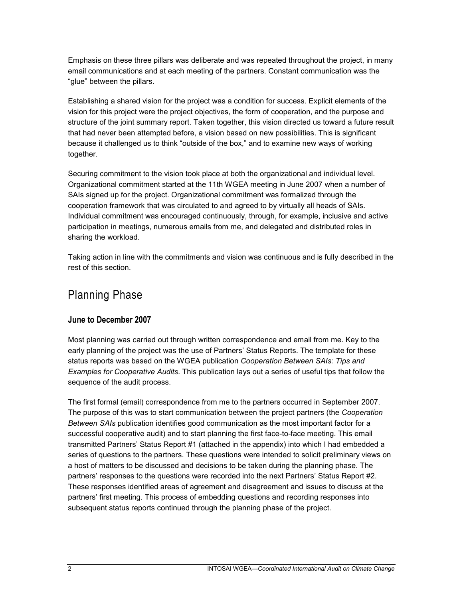Emphasis on these three pillars was deliberate and was repeated throughout the project, in many email communications and at each meeting of the partners. Constant communication was the "glue" between the pillars.

Establishing a shared vision for the project was a condition for success. Explicit elements of the vision for this project were the project objectives, the form of cooperation, and the purpose and structure of the joint summary report. Taken together, this vision directed us toward a future result that had never been attempted before, a vision based on new possibilities. This is significant because it challenged us to think "outside of the box," and to examine new ways of working together.

Securing commitment to the vision took place at both the organizational and individual level. Organizational commitment started at the 11th WGEA meeting in June 2007 when a number of SAIs signed up for the project. Organizational commitment was formalized through the cooperation framework that was circulated to and agreed to by virtually all heads of SAIs. Individual commitment was encouraged continuously, through, for example, inclusive and active participation in meetings, numerous emails from me, and delegated and distributed roles in sharing the workload.

Taking action in line with the commitments and vision was continuous and is fully described in the rest of this section.

### Planning Phase

#### **June to December 2007**

Most planning was carried out through written correspondence and email from me. Key to the early planning of the project was the use of Partners' Status Reports. The template for these status reports was based on the WGEA publication *Cooperation Between SAIs: Tips and Examples for Cooperative Audits*. This publication lays out a series of useful tips that follow the sequence of the audit process.

The first formal (email) correspondence from me to the partners occurred in September 2007. The purpose of this was to start communication between the project partners (the *Cooperation Between SAIs* publication identifies good communication as the most important factor for a successful cooperative audit) and to start planning the first face-to-face meeting. This email transmitted Partners' Status Report #1 (attached in the appendix) into which I had embedded a series of questions to the partners. These questions were intended to solicit preliminary views on a host of matters to be discussed and decisions to be taken during the planning phase. The partners' responses to the questions were recorded into the next Partners' Status Report #2. These responses identified areas of agreement and disagreement and issues to discuss at the partners' first meeting. This process of embedding questions and recording responses into subsequent status reports continued through the planning phase of the project.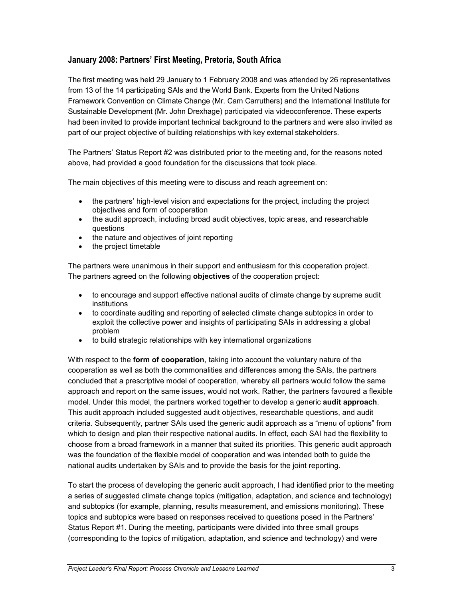#### **January 2008: Partners' First Meeting, Pretoria, South Africa**

The first meeting was held 29 January to 1 February 2008 and was attended by 26 representatives from 13 of the 14 participating SAIs and the World Bank. Experts from the United Nations Framework Convention on Climate Change (Mr. Cam Carruthers) and the International Institute for Sustainable Development (Mr. John Drexhage) participated via videoconference. These experts had been invited to provide important technical background to the partners and were also invited as part of our project objective of building relationships with key external stakeholders.

The Partners' Status Report #2 was distributed prior to the meeting and, for the reasons noted above, had provided a good foundation for the discussions that took place.

The main objectives of this meeting were to discuss and reach agreement on:

- the partners' high-level vision and expectations for the project, including the project objectives and form of cooperation
- the audit approach, including broad audit objectives, topic areas, and researchable questions
- the nature and objectives of joint reporting
- the project timetable

The partners were unanimous in their support and enthusiasm for this cooperation project. The partners agreed on the following **objectives** of the cooperation project:

- to encourage and support effective national audits of climate change by supreme audit institutions
- to coordinate auditing and reporting of selected climate change subtopics in order to exploit the collective power and insights of participating SAIs in addressing a global problem
- to build strategic relationships with key international organizations

With respect to the **form of cooperation**, taking into account the voluntary nature of the cooperation as well as both the commonalities and differences among the SAIs, the partners concluded that a prescriptive model of cooperation, whereby all partners would follow the same approach and report on the same issues, would not work. Rather, the partners favoured a flexible model. Under this model, the partners worked together to develop a generic **audit approach**. This audit approach included suggested audit objectives, researchable questions, and audit criteria. Subsequently, partner SAIs used the generic audit approach as a "menu of options" from which to design and plan their respective national audits. In effect, each SAI had the flexibility to choose from a broad framework in a manner that suited its priorities. This generic audit approach was the foundation of the flexible model of cooperation and was intended both to guide the national audits undertaken by SAIs and to provide the basis for the joint reporting.

To start the process of developing the generic audit approach, I had identified prior to the meeting a series of suggested climate change topics (mitigation, adaptation, and science and technology) and subtopics (for example, planning, results measurement, and emissions monitoring). These topics and subtopics were based on responses received to questions posed in the Partners' Status Report #1. During the meeting, participants were divided into three small groups (corresponding to the topics of mitigation, adaptation, and science and technology) and were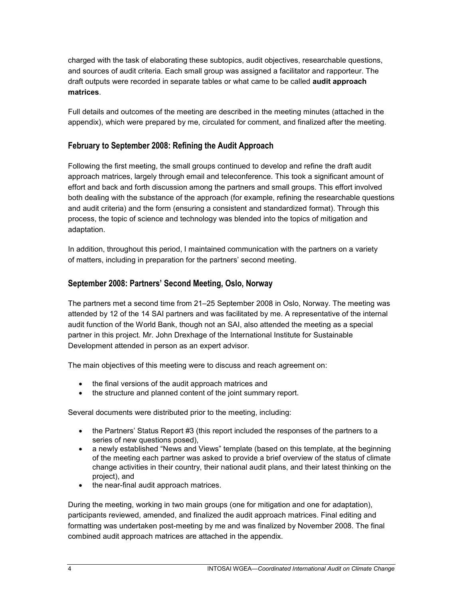charged with the task of elaborating these subtopics, audit objectives, researchable questions, and sources of audit criteria. Each small group was assigned a facilitator and rapporteur. The draft outputs were recorded in separate tables or what came to be called **audit approach matrices**.

Full details and outcomes of the meeting are described in the meeting minutes (attached in the appendix), which were prepared by me, circulated for comment, and finalized after the meeting.

#### **February to September 2008: Refining the Audit Approach**

Following the first meeting, the small groups continued to develop and refine the draft audit approach matrices, largely through email and teleconference. This took a significant amount of effort and back and forth discussion among the partners and small groups. This effort involved both dealing with the substance of the approach (for example, refining the researchable questions and audit criteria) and the form (ensuring a consistent and standardized format). Through this process, the topic of science and technology was blended into the topics of mitigation and adaptation.

In addition, throughout this period, I maintained communication with the partners on a variety of matters, including in preparation for the partners' second meeting.

#### **September 2008: Partners' Second Meeting, Oslo, Norway**

The partners met a second time from 21–25 September 2008 in Oslo, Norway. The meeting was attended by 12 of the 14 SAI partners and was facilitated by me. A representative of the internal audit function of the World Bank, though not an SAI, also attended the meeting as a special partner in this project. Mr. John Drexhage of the International Institute for Sustainable Development attended in person as an expert advisor.

The main objectives of this meeting were to discuss and reach agreement on:

- the final versions of the audit approach matrices and
- the structure and planned content of the joint summary report.

Several documents were distributed prior to the meeting, including:

- the Partners' Status Report #3 (this report included the responses of the partners to a series of new questions posed),
- a newly established "News and Views" template (based on this template, at the beginning of the meeting each partner was asked to provide a brief overview of the status of climate change activities in their country, their national audit plans, and their latest thinking on the project), and
- the near-final audit approach matrices.

During the meeting, working in two main groups (one for mitigation and one for adaptation), participants reviewed, amended, and finalized the audit approach matrices. Final editing and formatting was undertaken post-meeting by me and was finalized by November 2008. The final combined audit approach matrices are attached in the appendix.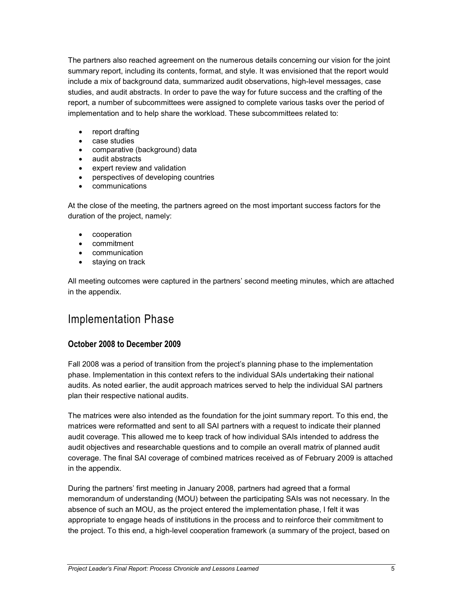The partners also reached agreement on the numerous details concerning our vision for the joint summary report, including its contents, format, and style. It was envisioned that the report would include a mix of background data, summarized audit observations, high-level messages, case studies, and audit abstracts. In order to pave the way for future success and the crafting of the report, a number of subcommittees were assigned to complete various tasks over the period of implementation and to help share the workload. These subcommittees related to:

- report drafting
- case studies
- comparative (background) data
- audit abstracts
- expert review and validation
- perspectives of developing countries
- communications

At the close of the meeting, the partners agreed on the most important success factors for the duration of the project, namely:

- cooperation
- commitment
- communication
- staying on track

All meeting outcomes were captured in the partners' second meeting minutes, which are attached in the appendix.

### Implementation Phase

#### **October 2008 to December 2009**

Fall 2008 was a period of transition from the project's planning phase to the implementation phase. Implementation in this context refers to the individual SAIs undertaking their national audits. As noted earlier, the audit approach matrices served to help the individual SAI partners plan their respective national audits.

The matrices were also intended as the foundation for the joint summary report. To this end, the matrices were reformatted and sent to all SAI partners with a request to indicate their planned audit coverage. This allowed me to keep track of how individual SAIs intended to address the audit objectives and researchable questions and to compile an overall matrix of planned audit coverage. The final SAI coverage of combined matrices received as of February 2009 is attached in the appendix.

During the partners' first meeting in January 2008, partners had agreed that a formal memorandum of understanding (MOU) between the participating SAIs was not necessary. In the absence of such an MOU, as the project entered the implementation phase, I felt it was appropriate to engage heads of institutions in the process and to reinforce their commitment to the project. To this end, a high-level cooperation framework (a summary of the project, based on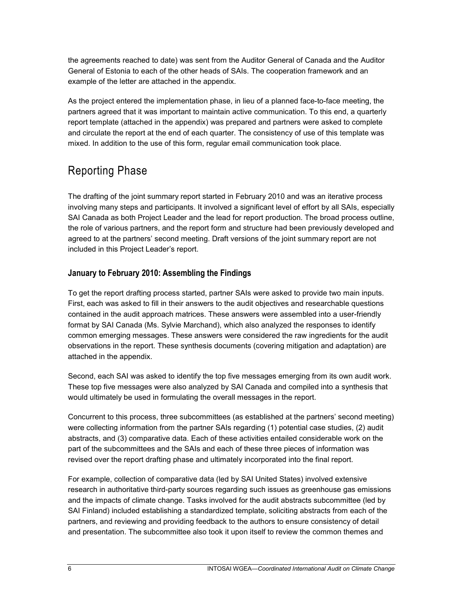the agreements reached to date) was sent from the Auditor General of Canada and the Auditor General of Estonia to each of the other heads of SAIs. The cooperation framework and an example of the letter are attached in the appendix.

As the project entered the implementation phase, in lieu of a planned face-to-face meeting, the partners agreed that it was important to maintain active communication. To this end, a quarterly report template (attached in the appendix) was prepared and partners were asked to complete and circulate the report at the end of each quarter. The consistency of use of this template was mixed. In addition to the use of this form, regular email communication took place.

### Reporting Phase

The drafting of the joint summary report started in February 2010 and was an iterative process involving many steps and participants. It involved a significant level of effort by all SAIs, especially SAI Canada as both Project Leader and the lead for report production. The broad process outline, the role of various partners, and the report form and structure had been previously developed and agreed to at the partners' second meeting. Draft versions of the joint summary report are not included in this Project Leader's report.

#### **January to February 2010: Assembling the Findings**

To get the report drafting process started, partner SAIs were asked to provide two main inputs. First, each was asked to fill in their answers to the audit objectives and researchable questions contained in the audit approach matrices. These answers were assembled into a user-friendly format by SAI Canada (Ms. Sylvie Marchand), which also analyzed the responses to identify common emerging messages. These answers were considered the raw ingredients for the audit observations in the report. These synthesis documents (covering mitigation and adaptation) are attached in the appendix.

Second, each SAI was asked to identify the top five messages emerging from its own audit work. These top five messages were also analyzed by SAI Canada and compiled into a synthesis that would ultimately be used in formulating the overall messages in the report.

Concurrent to this process, three subcommittees (as established at the partners' second meeting) were collecting information from the partner SAIs regarding (1) potential case studies, (2) audit abstracts, and (3) comparative data. Each of these activities entailed considerable work on the part of the subcommittees and the SAIs and each of these three pieces of information was revised over the report drafting phase and ultimately incorporated into the final report.

For example, collection of comparative data (led by SAI United States) involved extensive research in authoritative third-party sources regarding such issues as greenhouse gas emissions and the impacts of climate change. Tasks involved for the audit abstracts subcommittee (led by SAI Finland) included establishing a standardized template, soliciting abstracts from each of the partners, and reviewing and providing feedback to the authors to ensure consistency of detail and presentation. The subcommittee also took it upon itself to review the common themes and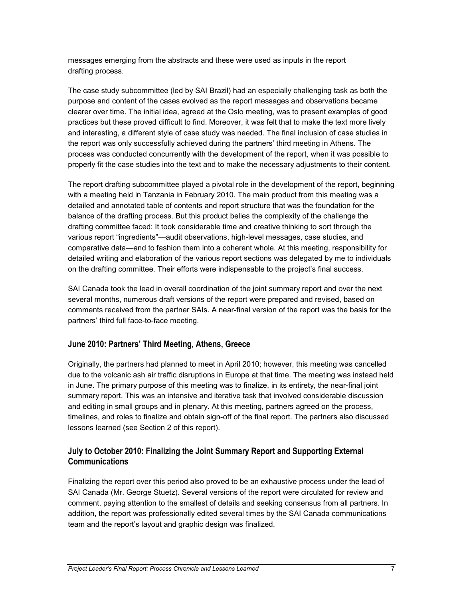messages emerging from the abstracts and these were used as inputs in the report drafting process.

The case study subcommittee (led by SAI Brazil) had an especially challenging task as both the purpose and content of the cases evolved as the report messages and observations became clearer over time. The initial idea, agreed at the Oslo meeting, was to present examples of good practices but these proved difficult to find. Moreover, it was felt that to make the text more lively and interesting, a different style of case study was needed. The final inclusion of case studies in the report was only successfully achieved during the partners' third meeting in Athens. The process was conducted concurrently with the development of the report, when it was possible to properly fit the case studies into the text and to make the necessary adjustments to their content.

The report drafting subcommittee played a pivotal role in the development of the report, beginning with a meeting held in Tanzania in February 2010. The main product from this meeting was a detailed and annotated table of contents and report structure that was the foundation for the balance of the drafting process. But this product belies the complexity of the challenge the drafting committee faced: It took considerable time and creative thinking to sort through the various report "ingredients"—audit observations, high-level messages, case studies, and comparative data—and to fashion them into a coherent whole. At this meeting, responsibility for detailed writing and elaboration of the various report sections was delegated by me to individuals on the drafting committee. Their efforts were indispensable to the project's final success.

SAI Canada took the lead in overall coordination of the joint summary report and over the next several months, numerous draft versions of the report were prepared and revised, based on comments received from the partner SAIs. A near-final version of the report was the basis for the partners' third full face-to-face meeting.

#### **June 2010: Partners' Third Meeting, Athens, Greece**

Originally, the partners had planned to meet in April 2010; however, this meeting was cancelled due to the volcanic ash air traffic disruptions in Europe at that time. The meeting was instead held in June. The primary purpose of this meeting was to finalize, in its entirety, the near-final joint summary report. This was an intensive and iterative task that involved considerable discussion and editing in small groups and in plenary. At this meeting, partners agreed on the process, timelines, and roles to finalize and obtain sign-off of the final report. The partners also discussed lessons learned (see Section 2 of this report).

#### **July to October 2010: Finalizing the Joint Summary Report and Supporting External Communications**

Finalizing the report over this period also proved to be an exhaustive process under the lead of SAI Canada (Mr. George Stuetz). Several versions of the report were circulated for review and comment, paying attention to the smallest of details and seeking consensus from all partners. In addition, the report was professionally edited several times by the SAI Canada communications team and the report's layout and graphic design was finalized.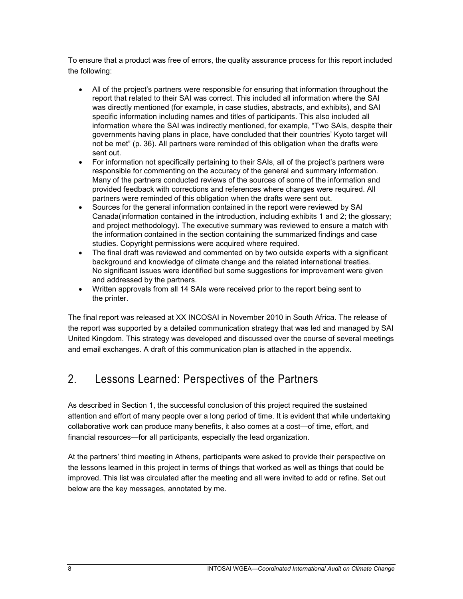To ensure that a product was free of errors, the quality assurance process for this report included the following:

- All of the project's partners were responsible for ensuring that information throughout the report that related to their SAI was correct. This included all information where the SAI was directly mentioned (for example, in case studies, abstracts, and exhibits), and SAI specific information including names and titles of participants. This also included all information where the SAI was indirectly mentioned, for example, "Two SAIs, despite their governments having plans in place, have concluded that their countries' Kyoto target will not be met" (p. 36). All partners were reminded of this obligation when the drafts were sent out.
- For information not specifically pertaining to their SAIs, all of the project's partners were responsible for commenting on the accuracy of the general and summary information. Many of the partners conducted reviews of the sources of some of the information and provided feedback with corrections and references where changes were required. All partners were reminded of this obligation when the drafts were sent out.
- Sources for the general information contained in the report were reviewed by SAI Canada(information contained in the introduction, including exhibits 1 and 2; the glossary; and project methodology). The executive summary was reviewed to ensure a match with the information contained in the section containing the summarized findings and case studies. Copyright permissions were acquired where required.
- The final draft was reviewed and commented on by two outside experts with a significant background and knowledge of climate change and the related international treaties. No significant issues were identified but some suggestions for improvement were given and addressed by the partners.
- Written approvals from all 14 SAIs were received prior to the report being sent to the printer.

The final report was released at XX INCOSAI in November 2010 in South Africa. The release of the report was supported by a detailed communication strategy that was led and managed by SAI United Kingdom. This strategy was developed and discussed over the course of several meetings and email exchanges. A draft of this communication plan is attached in the appendix.

### 2. Lessons Learned: Perspectives of the Partners

As described in Section 1, the successful conclusion of this project required the sustained attention and effort of many people over a long period of time. It is evident that while undertaking collaborative work can produce many benefits, it also comes at a cost—of time, effort, and financial resources—for all participants, especially the lead organization.

At the partners' third meeting in Athens, participants were asked to provide their perspective on the lessons learned in this project in terms of things that worked as well as things that could be improved. This list was circulated after the meeting and all were invited to add or refine. Set out below are the key messages, annotated by me.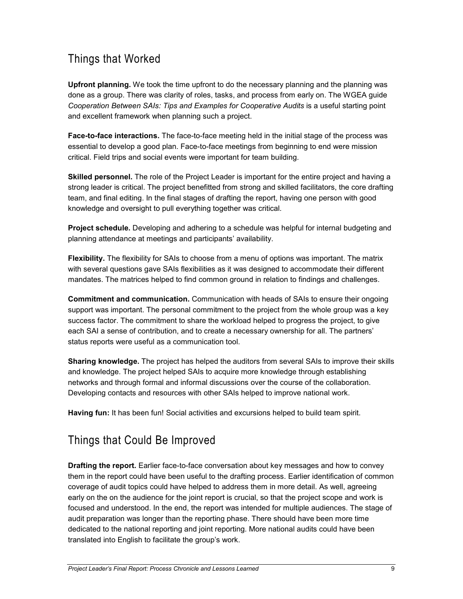### Things that Worked

**Upfront planning.** We took the time upfront to do the necessary planning and the planning was done as a group. There was clarity of roles, tasks, and process from early on. The WGEA guide *Cooperation Between SAIs: Tips and Examples for Cooperative Audits* is a useful starting point and excellent framework when planning such a project.

**Face-to-face interactions.** The face-to-face meeting held in the initial stage of the process was essential to develop a good plan. Face-to-face meetings from beginning to end were mission critical. Field trips and social events were important for team building.

**Skilled personnel.** The role of the Project Leader is important for the entire project and having a strong leader is critical. The project benefitted from strong and skilled facilitators, the core drafting team, and final editing. In the final stages of drafting the report, having one person with good knowledge and oversight to pull everything together was critical.

**Project schedule.** Developing and adhering to a schedule was helpful for internal budgeting and planning attendance at meetings and participants' availability.

**Flexibility.** The flexibility for SAIs to choose from a menu of options was important. The matrix with several questions gave SAIs flexibilities as it was designed to accommodate their different mandates. The matrices helped to find common ground in relation to findings and challenges.

**Commitment and communication.** Communication with heads of SAIs to ensure their ongoing support was important. The personal commitment to the project from the whole group was a key success factor. The commitment to share the workload helped to progress the project, to give each SAI a sense of contribution, and to create a necessary ownership for all. The partners' status reports were useful as a communication tool.

**Sharing knowledge.** The project has helped the auditors from several SAIs to improve their skills and knowledge. The project helped SAIs to acquire more knowledge through establishing networks and through formal and informal discussions over the course of the collaboration. Developing contacts and resources with other SAIs helped to improve national work.

**Having fun:** It has been fun! Social activities and excursions helped to build team spirit.

### Things that Could Be Improved

**Drafting the report.** Earlier face-to-face conversation about key messages and how to convey them in the report could have been useful to the drafting process. Earlier identification of common coverage of audit topics could have helped to address them in more detail. As well, agreeing early on the on the audience for the joint report is crucial, so that the project scope and work is focused and understood. In the end, the report was intended for multiple audiences. The stage of audit preparation was longer than the reporting phase. There should have been more time dedicated to the national reporting and joint reporting. More national audits could have been translated into English to facilitate the group's work.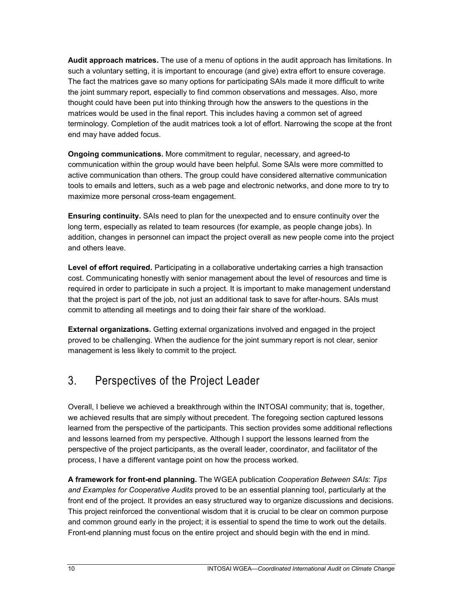**Audit approach matrices.** The use of a menu of options in the audit approach has limitations. In such a voluntary setting, it is important to encourage (and give) extra effort to ensure coverage. The fact the matrices gave so many options for participating SAIs made it more difficult to write the joint summary report, especially to find common observations and messages. Also, more thought could have been put into thinking through how the answers to the questions in the matrices would be used in the final report. This includes having a common set of agreed terminology. Completion of the audit matrices took a lot of effort. Narrowing the scope at the front end may have added focus.

**Ongoing communications.** More commitment to regular, necessary, and agreed-to communication within the group would have been helpful. Some SAIs were more committed to active communication than others. The group could have considered alternative communication tools to emails and letters, such as a web page and electronic networks, and done more to try to maximize more personal cross-team engagement.

**Ensuring continuity.** SAIs need to plan for the unexpected and to ensure continuity over the long term, especially as related to team resources (for example, as people change jobs). In addition, changes in personnel can impact the project overall as new people come into the project and others leave.

**Level of effort required.** Participating in a collaborative undertaking carries a high transaction cost. Communicating honestly with senior management about the level of resources and time is required in order to participate in such a project. It is important to make management understand that the project is part of the job, not just an additional task to save for after-hours. SAIs must commit to attending all meetings and to doing their fair share of the workload.

**External organizations.** Getting external organizations involved and engaged in the project proved to be challenging. When the audience for the joint summary report is not clear, senior management is less likely to commit to the project.

### 3. Perspectives of the Project Leader

Overall, I believe we achieved a breakthrough within the INTOSAI community; that is, together, we achieved results that are simply without precedent. The foregoing section captured lessons learned from the perspective of the participants. This section provides some additional reflections and lessons learned from my perspective. Although I support the lessons learned from the perspective of the project participants, as the overall leader, coordinator, and facilitator of the process, I have a different vantage point on how the process worked.

**A framework for front-end planning.** The WGEA publication *Cooperation Between SAIs*: *Tips and Examples for Cooperative Audits* proved to be an essential planning tool, particularly at the front end of the project. It provides an easy structured way to organize discussions and decisions. This project reinforced the conventional wisdom that it is crucial to be clear on common purpose and common ground early in the project; it is essential to spend the time to work out the details. Front-end planning must focus on the entire project and should begin with the end in mind.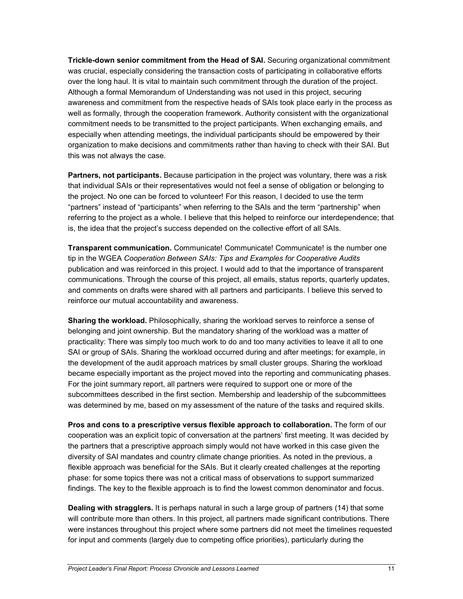**Trickle-down senior commitment from the Head of SAI.** Securing organizational commitment was crucial, especially considering the transaction costs of participating in collaborative efforts over the long haul. It is vital to maintain such commitment through the duration of the project. Although a formal Memorandum of Understanding was not used in this project, securing awareness and commitment from the respective heads of SAIs took place early in the process as well as formally, through the cooperation framework. Authority consistent with the organizational commitment needs to be transmitted to the project participants. When exchanging emails, and especially when attending meetings, the individual participants should be empowered by their organization to make decisions and commitments rather than having to check with their SAI. But this was not always the case.

**Partners, not participants.** Because participation in the project was voluntary, there was a risk that individual SAIs or their representatives would not feel a sense of obligation or belonging to the project. No one can be forced to volunteer! For this reason, I decided to use the term "partners" instead of "participants" when referring to the SAIs and the term "partnership" when referring to the project as a whole. I believe that this helped to reinforce our interdependence; that is, the idea that the project's success depended on the collective effort of all SAIs.

**Transparent communication.** Communicate! Communicate! Communicate! is the number one tip in the WGEA *Cooperation Between SAIs: Tips and Examples for Cooperative Audits* publication and was reinforced in this project. I would add to that the importance of transparent communications. Through the course of this project, all emails, status reports, quarterly updates, and comments on drafts were shared with all partners and participants. I believe this served to reinforce our mutual accountability and awareness.

**Sharing the workload.** Philosophically, sharing the workload serves to reinforce a sense of belonging and joint ownership. But the mandatory sharing of the workload was a matter of practicality: There was simply too much work to do and too many activities to leave it all to one SAI or group of SAIs. Sharing the workload occurred during and after meetings; for example, in the development of the audit approach matrices by small cluster groups. Sharing the workload became especially important as the project moved into the reporting and communicating phases. For the joint summary report, all partners were required to support one or more of the subcommittees described in the first section. Membership and leadership of the subcommittees was determined by me, based on my assessment of the nature of the tasks and required skills.

**Pros and cons to a prescriptive versus flexible approach to collaboration.** The form of our cooperation was an explicit topic of conversation at the partners' first meeting. It was decided by the partners that a prescriptive approach simply would not have worked in this case given the diversity of SAI mandates and country climate change priorities. As noted in the previous, a flexible approach was beneficial for the SAIs. But it clearly created challenges at the reporting phase: for some topics there was not a critical mass of observations to support summarized findings. The key to the flexible approach is to find the lowest common denominator and focus.

**Dealing with stragglers.** It is perhaps natural in such a large group of partners (14) that some will contribute more than others. In this project, all partners made significant contributions. There were instances throughout this project where some partners did not meet the timelines requested for input and comments (largely due to competing office priorities), particularly during the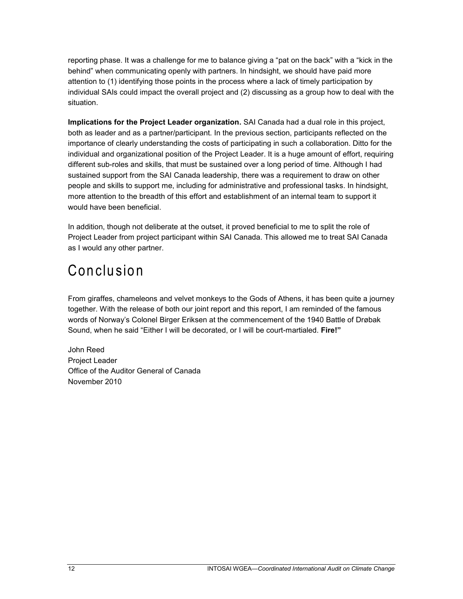reporting phase. It was a challenge for me to balance giving a "pat on the back" with a "kick in the behind" when communicating openly with partners. In hindsight, we should have paid more attention to (1) identifying those points in the process where a lack of timely participation by individual SAIs could impact the overall project and (2) discussing as a group how to deal with the situation.

**Implications for the Project Leader organization.** SAI Canada had a dual role in this project, both as leader and as a partner/participant. In the previous section, participants reflected on the importance of clearly understanding the costs of participating in such a collaboration. Ditto for the individual and organizational position of the Project Leader. It is a huge amount of effort, requiring different sub-roles and skills, that must be sustained over a long period of time. Although I had sustained support from the SAI Canada leadership, there was a requirement to draw on other people and skills to support me, including for administrative and professional tasks. In hindsight, more attention to the breadth of this effort and establishment of an internal team to support it would have been beneficial.

In addition, though not deliberate at the outset, it proved beneficial to me to split the role of Project Leader from project participant within SAI Canada. This allowed me to treat SAI Canada as I would any other partner.

## Conclusion

From giraffes, chameleons and velvet monkeys to the Gods of Athens, it has been quite a journey together. With the release of both our joint report and this report, I am reminded of the famous words of Norway's Colonel Birger Eriksen at the commencement of the 1940 Battle of Drøbak Sound, when he said "Either I will be decorated, or I will be court-martialed. **Fire!"**

John Reed Project Leader Office of the Auditor General of Canada November 2010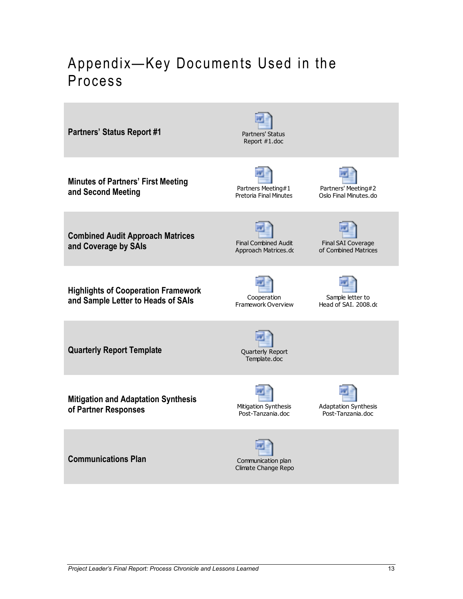## Appendix—Key Documents Used in the Process